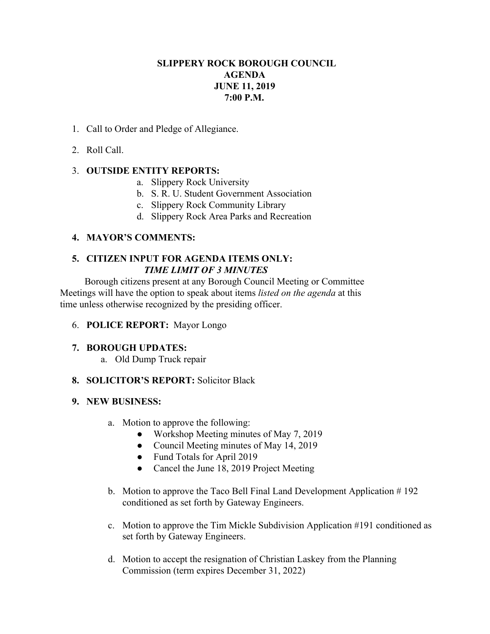# **SLIPPERY ROCK BOROUGH COUNCIL AGENDA JUNE 11, 2019 7:00 P.M.**

- 1. Call to Order and Pledge of Allegiance.
- 2. Roll Call.

# 3. **OUTSIDE ENTITY REPORTS:**

- a. Slippery Rock University
- b. S. R. U. Student Government Association
- c. Slippery Rock Community Library
- d. Slippery Rock Area Parks and Recreation

# **4. MAYOR'S COMMENTS:**

# **5. CITIZEN INPUT FOR AGENDA ITEMS ONLY:** *TIME LIMIT OF 3 MINUTES*

Borough citizens present at any Borough Council Meeting or Committee Meetings will have the option to speak about items *listed on the agenda* at this time unless otherwise recognized by the presiding officer.

### 6. **POLICE REPORT:** Mayor Longo

### **7. BOROUGH UPDATES:**

a. Old Dump Truck repair

### **8. SOLICITOR'S REPORT:** Solicitor Black

### **9. NEW BUSINESS:**

- a. Motion to approve the following:
	- Workshop Meeting minutes of May 7, 2019
	- Council Meeting minutes of May 14, 2019
	- Fund Totals for April 2019
	- Cancel the June 18, 2019 Project Meeting
- b. Motion to approve the Taco Bell Final Land Development Application # 192 conditioned as set forth by Gateway Engineers.
- c. Motion to approve the Tim Mickle Subdivision Application #191 conditioned as set forth by Gateway Engineers.
- d. Motion to accept the resignation of Christian Laskey from the Planning Commission (term expires December 31, 2022)